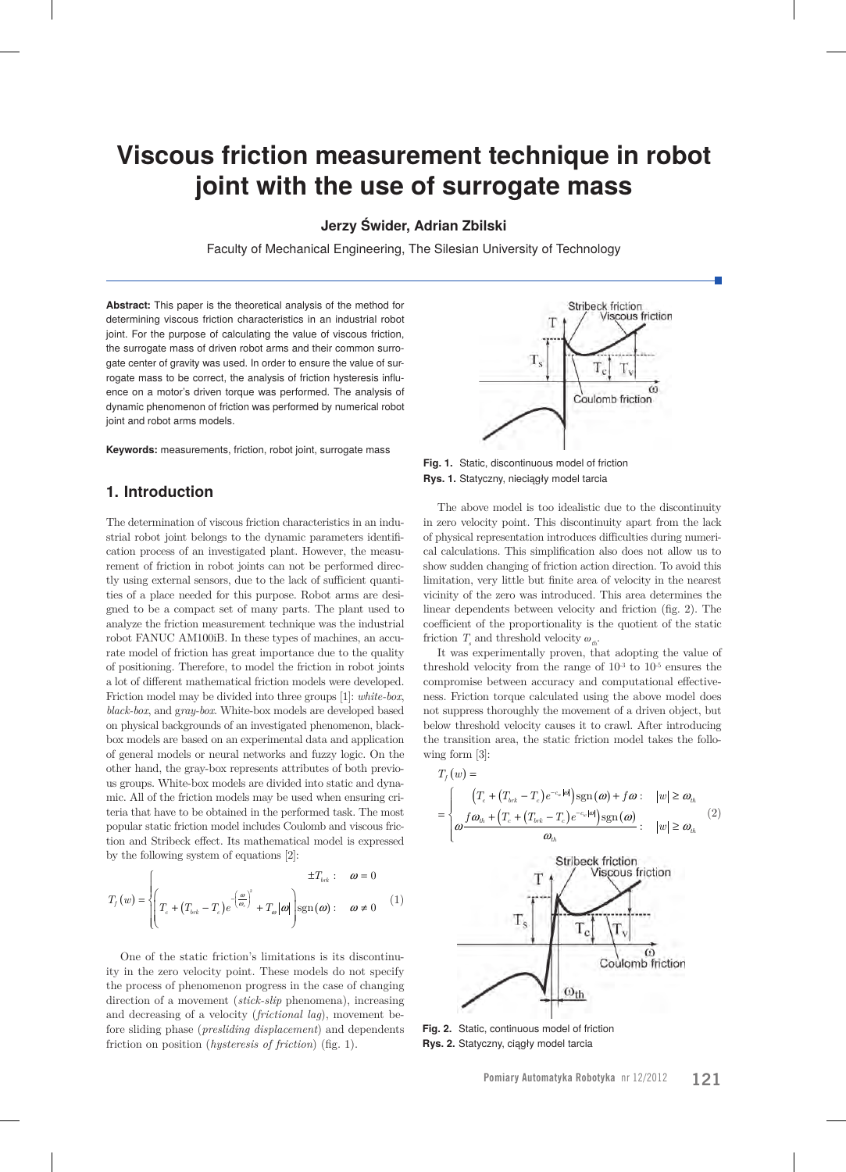# **Viscous friction measurement technique in robot joint with the use of surrogate mass**

## **Jerzy Świder, Adrian Zbilski**

Faculty of Mechanical Engineering, The Silesian University of Technology

**Abstract:** This paper is the theoretical analysis of the method for determining viscous friction characteristics in an industrial robot joint. For the purpose of calculating the value of viscous friction, the surrogate mass of driven robot arms and their common surrogate center of gravity was used. In order to ensure the value of surrogate mass to be correct, the analysis of friction hysteresis influence on a motor's driven torque was performed. The analysis of dynamic phenomenon of friction was performed by numerical robot joint and robot arms models.

**Keywords:** measurements, friction, robot joint, surrogate mass

## **1. Introduction**

The determination of viscous friction characteristics in an industrial robot joint belongs to the dynamic parameters identification process of an investigated plant. However, the measurement of friction in robot joints can not be performed directly using external sensors, due to the lack of sufficient quantities of a place needed for this purpose. Robot arms are designed to be a compact set of many parts. The plant used to analyze the friction measurement technique was the industrial robot FANUC AM100iB. In these types of machines, an accurate model of friction has great importance due to the quality of positioning. Therefore, to model the friction in robot joints a lot of different mathematical friction models were developed. Friction model may be divided into three groups [1]: *white-box*, *black-box*, and g*ray-box*. White-box models are developed based on physical backgrounds of an investigated phenomenon, blackbox models are based on an experimental data and application of general models or neural networks and fuzzy logic. On the other hand, the gray-box represents attributes of both previous groups. White-box models are divided into static and dynamic. All of the friction models may be used when ensuring criteria that have to be obtained in the performed task. The most popular static friction model includes Coulomb and viscous friction and Stribeck effect. Its mathematical model is expressed by the following system of equations [2]:

$$
T_f(w) = \begin{cases} \pm T_{brk} : & \omega = 0\\ T_c + (T_{brk} - T_c)e^{-\left(\frac{\omega}{\omega_k}\right)^2} + T_{\omega}|\omega| \text{sgn}(\omega) : & \omega \neq 0 \end{cases}
$$
 (1)

One of the static friction's limitations is its discontinuity in the zero velocity point. These models do not specify the process of phenomenon progress in the case of changing direction of a movement (*stick-slip* phenomena), increasing and decreasing of a velocity (*frictional lag*), movement before sliding phase (*presliding displacement*) and dependents friction on position (*hysteresis of friction*) (fig. 1).



**Fig. 1.** Static, discontinuous model of friction **Rys. 1.** Statyczny, nieciągły model tarcia

The above model is too idealistic due to the discontinuity in zero velocity point. This discontinuity apart from the lack of physical representation introduces difficulties during numerical calculations. This simplification also does not allow us to show sudden changing of friction action direction. To avoid this limitation, very little but finite area of velocity in the nearest vicinity of the zero was introduced. This area determines the linear dependents between velocity and friction (fig. 2). The coefficient of the proportionality is the quotient of the static friction  $T_s$  and threshold velocity  $\omega_{th}$ .

It was experimentally proven, that adopting the value of threshold velocity from the range of  $10^{-3}$  to  $10^{-5}$  ensures the compromise between accuracy and computational effectiveness. Friction torque calculated using the above model does not suppress thoroughly the movement of a driven object, but below threshold velocity causes it to crawl. After introducing the transition area, the static friction model takes the following form [3]:

$$
T_{f}(w) = \frac{[T_{c} + (T_{brk} - T_{c})e^{-c_{w}|\omega|}]\operatorname{sgn}(\omega) + f\omega : ||w| \ge \omega_{th}}{\omega_{th}}
$$
\n
$$
= \begin{cases}\n[T_{c} + (T_{brk} - T_{c})e^{-c_{w}|\omega|}]\operatorname{sgn}(\omega) & |w| \ge \omega_{th} \\
\omega \frac{\operatorname{Stribeck friction}}{\omega_{th}} & |w| \ge \omega_{th}\n\end{cases}
$$
\n
$$
T_{s} \begin{cases}\nT_{c} \sqrt{T_{v}} \\
T_{c} \sqrt{T_{v}} \\
\frac{\omega_{th}}{\omega_{th}}\n\end{cases}
$$
\n
$$
Coulomb friction
$$

**Fig. 2.** Static, continuous model of friction **Rys. 2.** Statyczny, ciągły model tarcia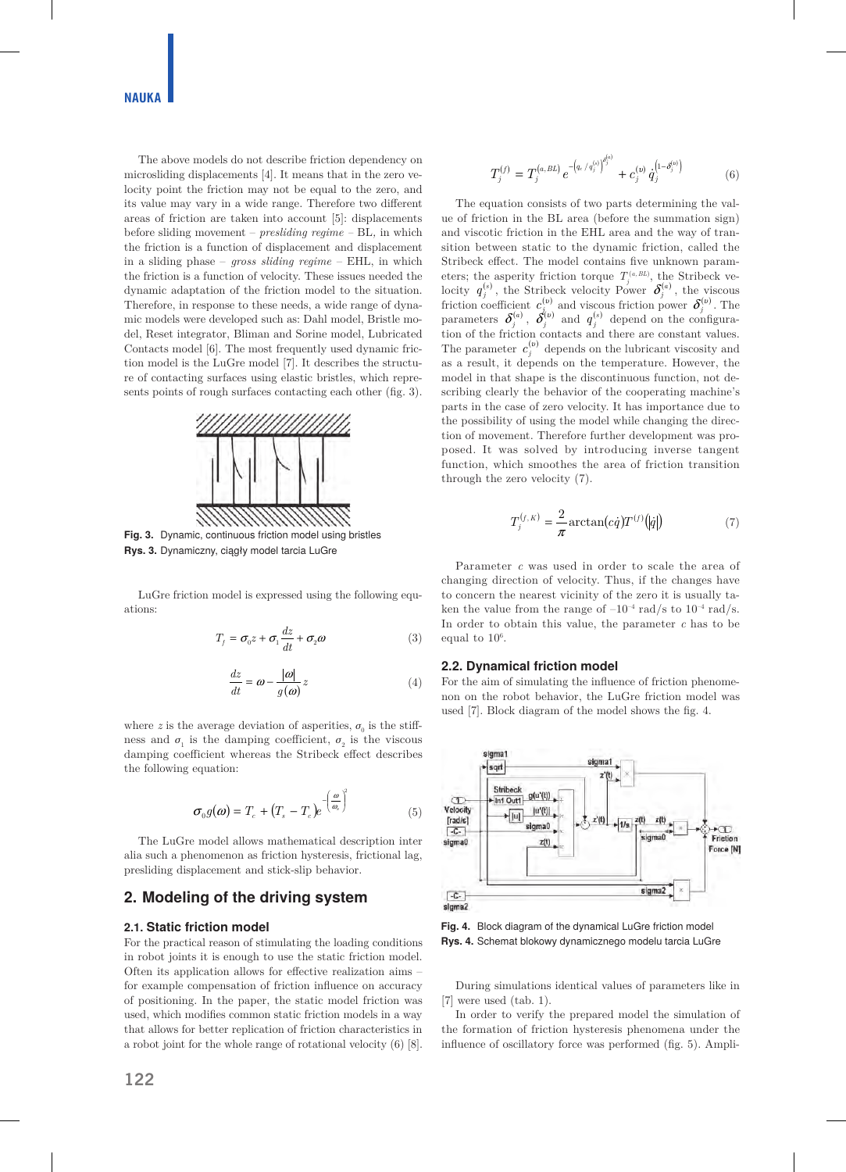The above models do not describe friction dependency on microsliding displacements [4]. It means that in the zero velocity point the friction may not be equal to the zero, and its value may vary in a wide range. Therefore two different areas of friction are taken into account [5]: displacements before sliding movement – *presliding regime –* BL*,* in which the friction is a function of displacement and displacement in a sliding phase – *gross sliding regime* – EHL, in which the friction is a function of velocity. These issues needed the dynamic adaptation of the friction model to the situation. Therefore, in response to these needs, a wide range of dynamic models were developed such as: Dahl model, Bristle model, Reset integrator, Bliman and Sorine model, Lubricated Contacts model [6]. The most frequently used dynamic friction model is the LuGre model [7]. It describes the structure of contacting surfaces using elastic bristles, which represents points of rough surfaces contacting each other (fig. 3).



**Fig. 3.** Dynamic, continuous friction model using bristles **Rys. 3.** Dynamiczny, ciągły model tarcia LuGre

LuGre friction model is expressed using the following equations:

$$
T_f = \sigma_0 z + \sigma_1 \frac{dz}{dt} + \sigma_2 \omega \tag{3}
$$

$$
\frac{dz}{dt} = \omega - \frac{|\omega|}{g(\omega)} z \tag{4}
$$

where *z* is the average deviation of asperities,  $\sigma_0$  is the stiffness and  $\sigma_{\!\scriptscriptstyle 1}$  is the damping coefficient,  $\sigma_{\!\scriptscriptstyle 2}$  is the viscous damping coefficient whereas the Stribeck effect describes the following equation:

$$
\sigma_0 g(\omega) = T_c + (T_s - T_c) e^{-\left(\frac{\omega}{\omega_s}\right)^2}
$$
\n(5)

The LuGre model allows mathematical description inter alia such a phenomenon as friction hysteresis, frictional lag, presliding displacement and stick-slip behavior.

## **2. Modeling of the driving system**

#### **2.1. Static friction model**

For the practical reason of stimulating the loading conditions in robot joints it is enough to use the static friction model. Often its application allows for effective realization aims – for example compensation of friction influence on accuracy of positioning. In the paper, the static model friction was used, which modifies common static friction models in a way that allows for better replication of friction characteristics in a robot joint for the whole range of rotational velocity (6) [8].

The equation consists of two parts determining the value of friction in the BL area (before the summation sign) and viscotic friction in the EHL area and the way of transition between static to the dynamic friction, called the Stribeck effect. The model contains five unknown parameters; the asperity friction torque  $T_j^{(a, BL)}$ , the Stribeck velocity  $q_j^{(s)}$ , the Stribeck velocity Power  $\delta_j^{(a)}$ , the viscous friction coefficient  $c_{j_{(n)}}^{(v)}$  and viscous friction power  $\delta_j^{(v)}$ . The parameters  $\delta_j^{(a)}$ ,  $\delta_j^{(v)}$  and  $q_j^{(s)}$  depend on the configuration of the friction contacts and there are constant values. The parameter  $c_j^{(v)}$  depends on the lubricant viscosity and as a result, it depends on the temperature. However, the model in that shape is the discontinuous function, not describing clearly the behavior of the cooperating machine's parts in the case of zero velocity. It has importance due to the possibility of using the model while changing the direction of movement. Therefore further development was proposed. It was solved by introducing inverse tangent function, which smoothes the area of friction transition through the zero velocity (7).

$$
T_j^{(f,K)} = \frac{2}{\pi} \arctan(c\dot{q}) T^{(f)}(|\dot{q}|)
$$
 (7)

Parameter *c* was used in order to scale the area of changing direction of velocity. Thus, if the changes have to concern the nearest vicinity of the zero it is usually taken the value from the range of  $-10^{-4}$  rad/s to  $10^{-4}$  rad/s. In order to obtain this value, the parameter *c* has to be equal to  $10^6$ .

#### **2.2. Dynamical friction model**

For the aim of simulating the influence of friction phenomenon on the robot behavior, the LuGre friction model was used [7]. Block diagram of the model shows the fig. 4.



**Fig. 4.** Block diagram of the dynamical LuGre friction model **Rys. 4.** Schemat blokowy dynamicznego modelu tarcia LuGre

During simulations identical values of parameters like in [7] were used (tab. 1).

In order to verify the prepared model the simulation of the formation of friction hysteresis phenomena under the influence of oscillatory force was performed (fig. 5). Ampli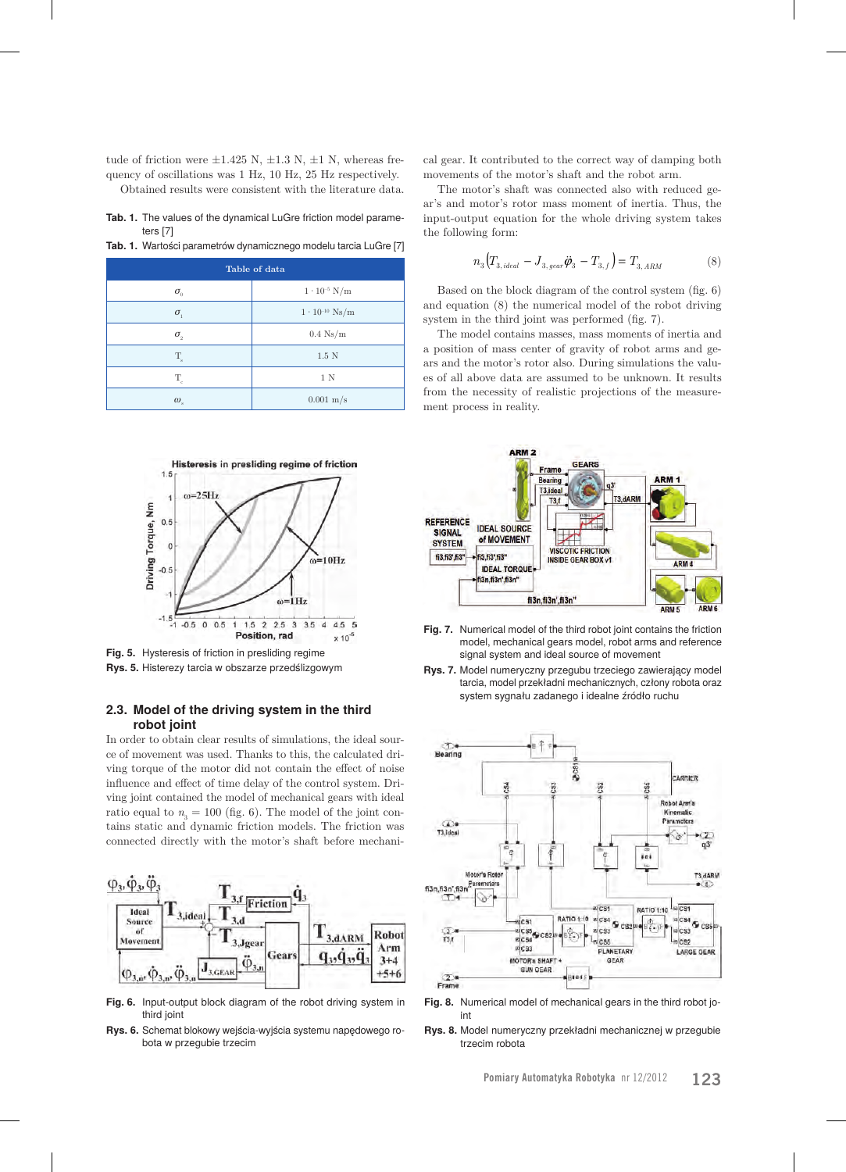tude of friction were  $\pm 1.425$  N,  $\pm 1.3$  N,  $\pm 1$  N, whereas frequency of oscillations was 1 Hz, 10 Hz, 25 Hz respectively. Obtained results were consistent with the literature data.

**Tab. 1.** The values of the dynamical LuGre friction model parameters [7]

**Tab. 1.** Wartości parametrów dynamicznego modelu tarcia LuGre [7]

| Table of data                    |                         |
|----------------------------------|-------------------------|
| $\sigma_{\scriptscriptstyle{0}}$ | $1 \cdot 10^{-5}$ N/m   |
| $\sigma_{1}$                     | $1 \cdot 10^{-10}$ Ns/m |
| $\sigma_{\scriptscriptstyle{2}}$ | $0.4\;\mathrm{Ns/m}$    |
| $\rm T_{\rm s}$                  | $1.5\text{ N}$          |
| $\rm T_{c}$                      | 1 N                     |
| $\omega_{\rm s}$                 | $0.001 \text{ m/s}$     |



**Fig. 5.** Hysteresis of friction in presliding regime **Rys. 5.** Histerezy tarcia w obszarze przedślizgowym

### **2.3. Model of the driving system in the third robot joint**

In order to obtain clear results of simulations, the ideal source of movement was used. Thanks to this, the calculated driving torque of the motor did not contain the effect of noise influence and effect of time delay of the control system. Driving joint contained the model of mechanical gears with ideal ratio equal to  $n<sub>3</sub> = 100$  (fig. 6). The model of the joint contains static and dynamic friction models. The friction was connected directly with the motor's shaft before mechani-



**Fig. 6.** Input-output block diagram of the robot driving system in third joint

**Rys. 6.** Schemat blokowy wejścia-wyjścia systemu napędowego robota w przegubie trzecim

cal gear. It contributed to the correct way of damping both movements of the motor's shaft and the robot arm.

The motor's shaft was connected also with reduced gear's and motor's rotor mass moment of inertia. Thus, the input-output equation for the whole driving system takes the following form:

$$
n_3\left(T_{3,\,ideal} - J_{3,\,year}\ddot{\boldsymbol{\varphi}}_3 - T_{3,\,f}\right) = T_{3,\,ARM} \tag{8}
$$

Based on the block diagram of the control system (fig. 6) and equation (8) the numerical model of the robot driving system in the third joint was performed (fig. 7).

The model contains masses, mass moments of inertia and a position of mass center of gravity of robot arms and gears and the motor's rotor also. During simulations the values of all above data are assumed to be unknown. It results from the necessity of realistic projections of the measurement process in reality.



- **Fig. 7.** Numerical model of the third robot joint contains the friction model, mechanical gears model, robot arms and reference signal system and ideal source of movement
- **Rys. 7.** Model numeryczny przegubu trzeciego zawierający model tarcia, model przekładni mechanicznych, człony robota oraz system sygnału zadanego i idealne źródło ruchu



**Fig. 8.** Numerical model of mechanical gears in the third robot joint

**Rys. 8.** Model numeryczny przekładni mechanicznej w przegubie trzecim robota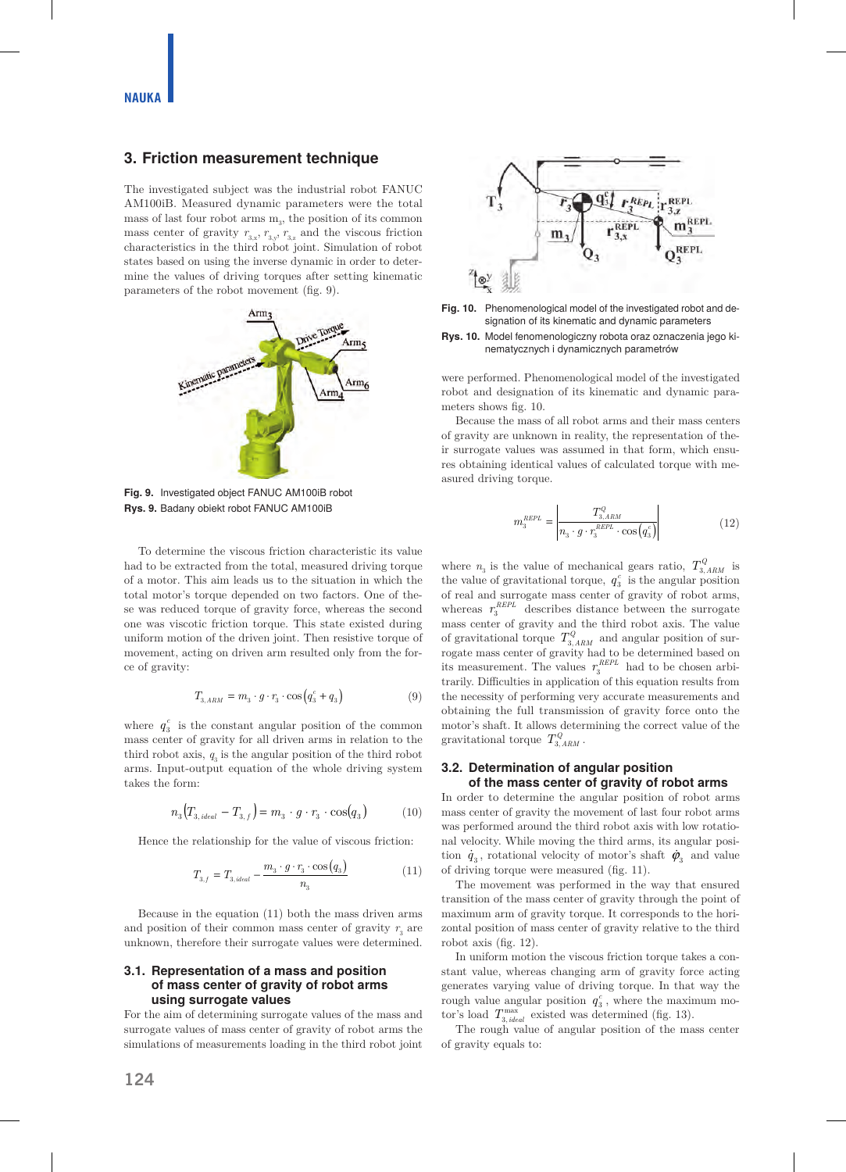## **3. Friction measurement technique**

The investigated subject was the industrial robot FANUC AM100iB. Measured dynamic parameters were the total mass of last four robot arms  $m<sub>3</sub>$ , the position of its common mass center of gravity  $\,_{3,\mathrm{x}},\,r_{3,\mathrm{y}},\,r_{3,\mathrm{z}}$  and the viscous friction characteristics in the third robot joint. Simulation of robot states based on using the inverse dynamic in order to determine the values of driving torques after setting kinematic parameters of the robot movement (fig. 9).



**Fig. 9.** Investigated object FANUC AM100iB robot **Rys. 9.** Badany obiekt robot FANUC AM100iB

To determine the viscous friction characteristic its value had to be extracted from the total, measured driving torque of a motor. This aim leads us to the situation in which the total motor's torque depended on two factors. One of these was reduced torque of gravity force, whereas the second one was viscotic friction torque. This state existed during uniform motion of the driven joint. Then resistive torque of movement, acting on driven arm resulted only from the force of gravity:

$$
T_{3,ARM} = m_3 \cdot g \cdot r_3 \cdot \cos\left(q_3^c + q_3\right) \tag{9}
$$

where  $q_3^c$  is the constant angular position of the common mass center of gravity for all driven arms in relation to the third robot axis,  $q_3$  is the angular position of the third robot arms. Input-output equation of the whole driving system takes the form:

$$
n_3\big(T_{3, ideal} - T_{3,f}\big) = m_3 \cdot g \cdot r_3 \cdot \cos(q_3)
$$
 (10)

Hence the relationship for the value of viscous friction:

$$
T_{3,f} = T_{3,ideal} - \frac{m_3 \cdot g \cdot r_3 \cdot \cos(q_3)}{n_3} \tag{11}
$$

Because in the equation (11) both the mass driven arms and position of their common mass center of gravity  $r_{\scriptscriptstyle 3}$  are unknown, therefore their surrogate values were determined.

#### **3.1. Representation of a mass and position of mass center of gravity of robot arms using surrogate values**

For the aim of determining surrogate values of the mass and surrogate values of mass center of gravity of robot arms the simulations of measurements loading in the third robot joint



**Fig. 10.** Phenomenological model of the investigated robot and designation of its kinematic and dynamic parameters



were performed. Phenomenological model of the investigated robot and designation of its kinematic and dynamic parameters shows fig. 10.

Because the mass of all robot arms and their mass centers of gravity are unknown in reality, the representation of their surrogate values was assumed in that form, which ensures obtaining identical values of calculated torque with measured driving torque.

$$
m_3^{REPL} = \left| \frac{T_{3,ARM}^Q}{n_3 \cdot g \cdot r_3^{REPL} \cdot \cos\left(q_3^c\right)} \right| \tag{12}
$$

where  $n_3$  is the value of mechanical gears ratio,  $T_{3,ARM}^Q$  is the value of gravitational torque,  $q_3^c$  is the angular position of real and surrogate mass center of gravity of robot arms, whereas  $r_3^{REPL}$  describes distance between the surrogate mass center of gravity and the third robot axis. The value of gravitational torque  $T_{3,ARM}^{Q}$  and angular position of surrogate mass center of gravity had to be determined based on its measurement. The values  $r_3^{REPL}$  had to be chosen arbitrarily. Difficulties in application of this equation results from the necessity of performing very accurate measurements and obtaining the full transmission of gravity force onto the motor's shaft. It allows determining the correct value of the gravitational torque  $T_{3. A RM}^Q$ .

#### **3.2. Determination of angular position of the mass center of gravity of robot arms**

In order to determine the angular position of robot arms mass center of gravity the movement of last four robot arms was performed around the third robot axis with low rotational velocity. While moving the third arms, its angular position  $\dot{q}_3$ , rotational velocity of motor's shaft  $\dot{\varphi}_3$  and value of driving torque were measured (fig. 11).

The movement was performed in the way that ensured transition of the mass center of gravity through the point of maximum arm of gravity torque. It corresponds to the horizontal position of mass center of gravity relative to the third robot axis (fig. 12).

In uniform motion the viscous friction torque takes a constant value, whereas changing arm of gravity force acting generates varying value of driving torque. In that way the rough value angular position  $q_3^c$ , where the maximum motor's load  $T_{3, ideal}^{\max}$  existed was determined (fig. 13).

The rough value of angular position of the mass center of gravity equals to: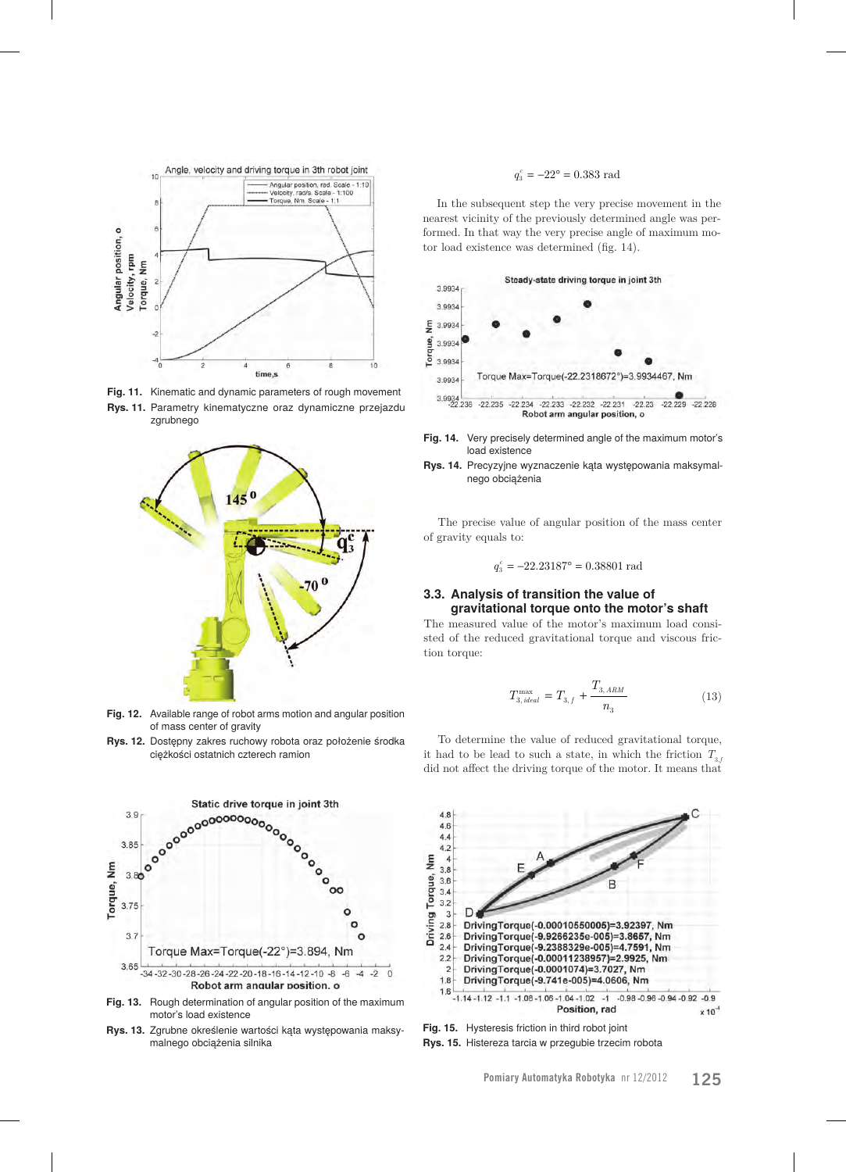

**Fig. 11.** Kinematic and dynamic parameters of rough movement

**Rys. 11.** Parametry kinematyczne oraz dynamiczne przejazdu zgrubnego



**Fig. 12.** Available range of robot arms motion and angular position of mass center of gravity

**Rys. 12.** Dostępny zakres ruchowy robota oraz położenie środka ciężkości ostatnich czterech ramion



**Fig. 13.** Rough determination of angular position of the maximum motor's load existence

**Rys. 13.** Zgrubne określenie wartości kąta występowania maksymalnego obciążenia silnika

## $q_i^c = -22^\circ = 0.383$  rad

In the subsequent step the very precise movement in the nearest vicinity of the previously determined angle was performed. In that way the very precise angle of maximum motor load existence was determined (fig. 14).



- **Fig. 14.** Very precisely determined angle of the maximum motor's load existence
- **Rys. 14.** Precyzyjne wyznaczenie kąta występowania maksymalnego obciążenia

The precise value of angular position of the mass center of gravity equals to:

$$
q_3^c = -22.23187^\circ = 0.38801 \ \mathrm{rad}
$$

#### **3.3. Analysis of transition the value of gravitational torque onto the motor's shaft**

The measured value of the motor's maximum load consisted of the reduced gravitational torque and viscous friction torque:

$$
T_{3, ideal}^{\max} = T_{3, f} + \frac{T_{3, ARM}}{n_3} \tag{13}
$$

To determine the value of reduced gravitational torque, it had to be lead to such a state, in which the friction  $T_{3f}$ did not affect the driving torque of the motor. It means that



**Fig. 15.** Hysteresis friction in third robot joint

**Rys. 15.** Histereza tarcia w przegubie trzecim robota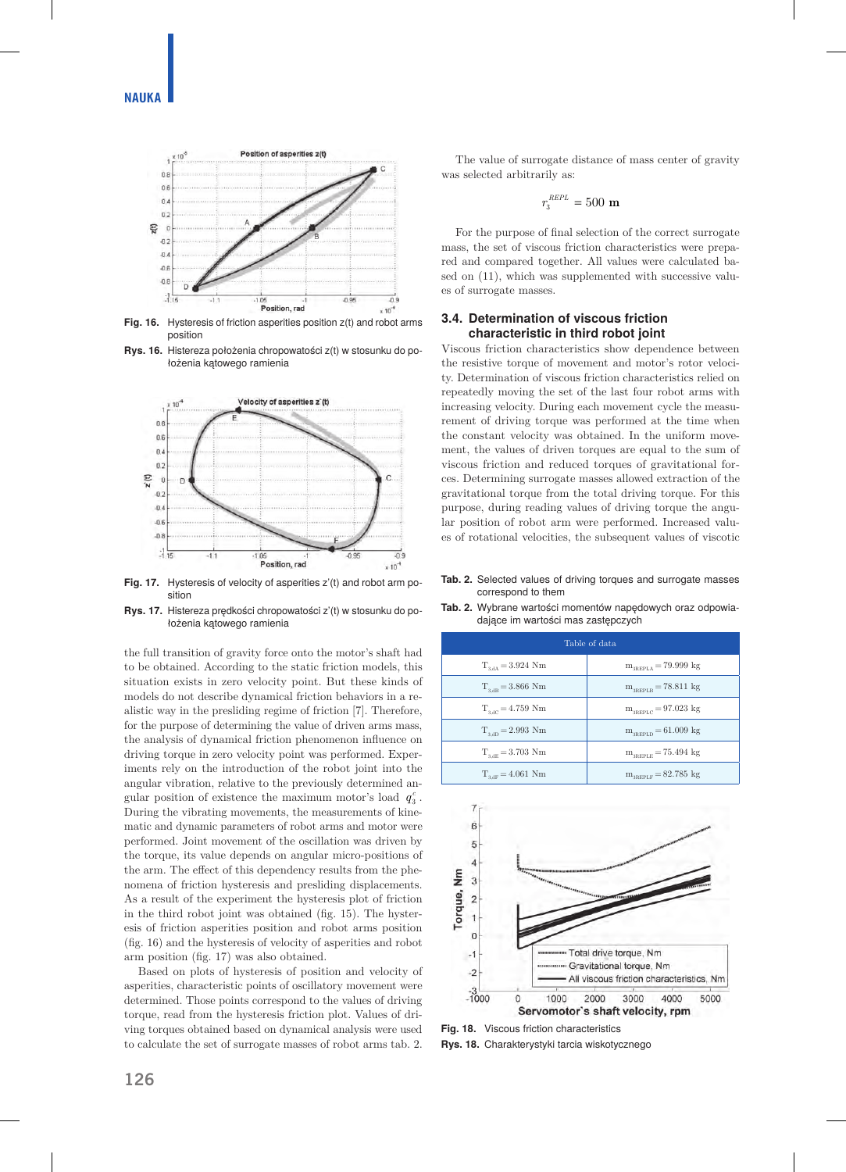

Fig. 16. Hysteresis of friction asperities position  $z(t)$  and robot arms position

**Rys. 16.** Histereza położenia chropowatości z(t) w stosunku do położenia kątowego ramienia



**Fig. 17.** Hysteresis of velocity of asperities z'(t) and robot arm position

**Rys. 17.** Histereza prędkości chropowatości z'(t) w stosunku do położenia kątowego ramienia

the full transition of gravity force onto the motor's shaft had to be obtained. According to the static friction models, this situation exists in zero velocity point. But these kinds of models do not describe dynamical friction behaviors in a realistic way in the presliding regime of friction [7]. Therefore, for the purpose of determining the value of driven arms mass, the analysis of dynamical friction phenomenon influence on driving torque in zero velocity point was performed. Experiments rely on the introduction of the robot joint into the angular vibration, relative to the previously determined angular position of existence the maximum motor's load  $q_3^c$ . During the vibrating movements, the measurements of kinematic and dynamic parameters of robot arms and motor were performed. Joint movement of the oscillation was driven by the torque, its value depends on angular micro-positions of the arm. The effect of this dependency results from the phenomena of friction hysteresis and presliding displacements. As a result of the experiment the hysteresis plot of friction in the third robot joint was obtained (fig. 15). The hysteresis of friction asperities position and robot arms position (fig. 16) and the hysteresis of velocity of asperities and robot arm position (fig. 17) was also obtained.

Based on plots of hysteresis of position and velocity of asperities, characteristic points of oscillatory movement were determined. Those points correspond to the values of driving torque, read from the hysteresis friction plot. Values of driving torques obtained based on dynamical analysis were used to calculate the set of surrogate masses of robot arms tab. 2.

The value of surrogate distance of mass center of gravity was selected arbitrarily as:

$$
r_3^{\text{REPL}} = 500 \text{ m}
$$

For the purpose of final selection of the correct surrogate mass, the set of viscous friction characteristics were prepared and compared together. All values were calculated based on (11), which was supplemented with successive values of surrogate masses.

#### **3.4. Determination of viscous friction characteristic in third robot joint**

Viscous friction characteristics show dependence between the resistive torque of movement and motor's rotor velocity. Determination of viscous friction characteristics relied on repeatedly moving the set of the last four robot arms with increasing velocity. During each movement cycle the measurement of driving torque was performed at the time when the constant velocity was obtained. In the uniform movement, the values of driven torques are equal to the sum of viscous friction and reduced torques of gravitational forces. Determining surrogate masses allowed extraction of the gravitational torque from the total driving torque. For this purpose, during reading values of driving torque the angular position of robot arm were performed. Increased values of rotational velocities, the subsequent values of viscotic

**Tab. 2.** Selected values of driving torques and surrogate masses correspond to them **Tab. 2.** Wybrane wartości momentów napędowych oraz odpowia-

dające im wartości mas zastępczych

Table of data  $T_{\text{3,AA}} = 3.924 \text{ Nm}$   $m_{\text{appLA}} = 79.999 \text{ kg}$  $T_{3,dB} = 3.866$  Nm  $m_{3REPLB} = 78.811$  kg  $T_{3,0C} = 4.759$  Nm  $m_{3REPLC} = 97.023$  kg  $T_{3,dD} = 2.993$  Nm  $m_{3REDLD} = 61.009$  kg  $T_{3,de} = 3.703$  Nm  $m_{3RPEPE} = 75.494$  kg

 $T_{3,\text{dF}} = 4.061 \text{ Nm}$   $m_{3\text{RFEPE}} = 82.785 \text{ kg}$ 



**Fig. 18.** Viscous friction characteristics

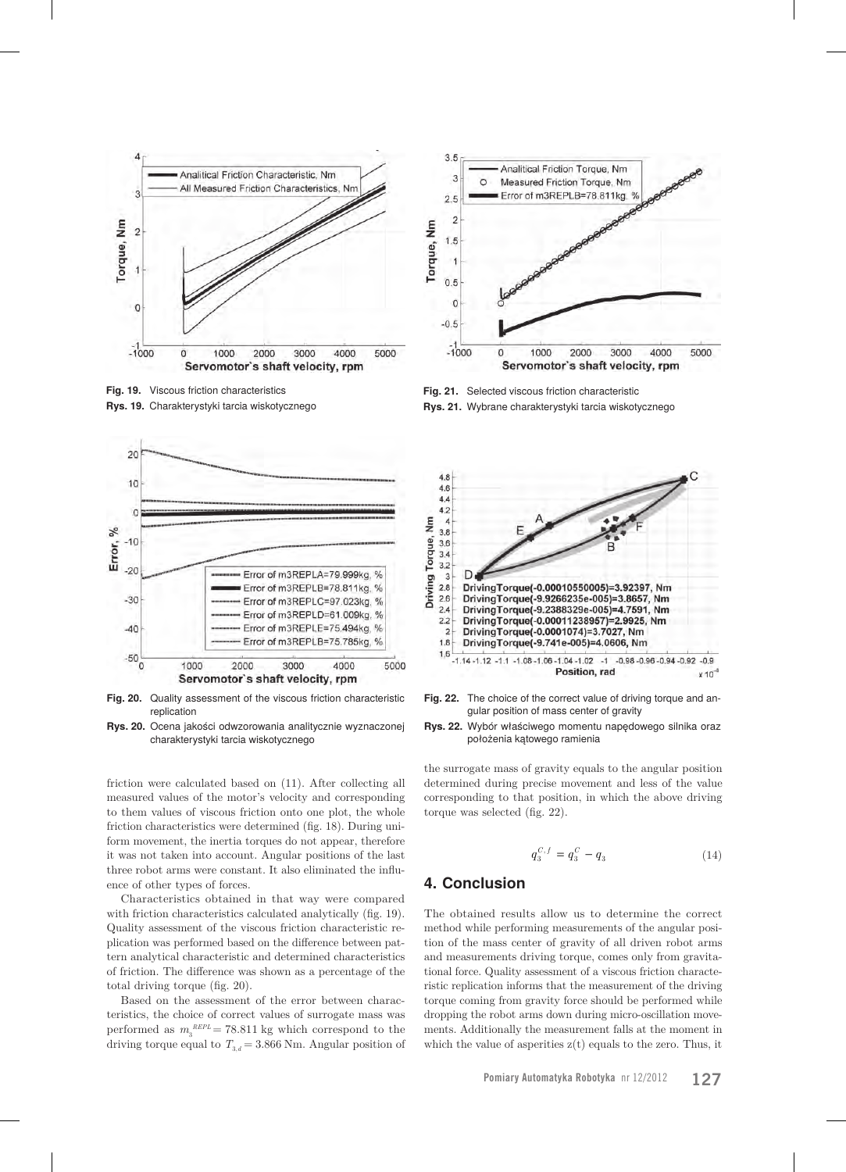

**Fig. 19.** Viscous friction characteristics **Rys. 19.** Charakterystyki tarcia wiskotycznego



**Fig. 20.** Quality assessment of the viscous friction characteristic replication

**Rys. 20.** Ocena jakości odwzorowania analitycznie wyznaczonej charakterystyki tarcia wiskotycznego

friction were calculated based on (11). After collecting all measured values of the motor's velocity and corresponding to them values of viscous friction onto one plot, the whole friction characteristics were determined (fig. 18). During uniform movement, the inertia torques do not appear, therefore it was not taken into account. Angular positions of the last three robot arms were constant. It also eliminated the influence of other types of forces.

Characteristics obtained in that way were compared with friction characteristics calculated analytically (fig. 19). Quality assessment of the viscous friction characteristic replication was performed based on the difference between pattern analytical characteristic and determined characteristics of friction. The difference was shown as a percentage of the total driving torque (fig. 20).

Based on the assessment of the error between characteristics, the choice of correct values of surrogate mass was performed as  $m_3^{REPL} = 78.811$  kg which correspond to the driving torque equal to  $T_{3,d} = 3.866$  Nm. Angular position of



**Fig. 21.** Selected viscous friction characteristic **Rys. 21.** Wybrane charakterystyki tarcia wiskotycznego



**Fig. 22.** The choice of the correct value of driving torque and angular position of mass center of gravity

**Rys. 22.** Wybór właściwego momentu napędowego silnika oraz położenia kątowego ramienia

the surrogate mass of gravity equals to the angular position determined during precise movement and less of the value corresponding to that position, in which the above driving torque was selected (fig. 22).

$$
q_3^{C,f} = q_3^C - q_3 \tag{14}
$$

## **4. Conclusion**

The obtained results allow us to determine the correct method while performing measurements of the angular position of the mass center of gravity of all driven robot arms and measurements driving torque, comes only from gravitational force. Quality assessment of a viscous friction characteristic replication informs that the measurement of the driving torque coming from gravity force should be performed while dropping the robot arms down during micro-oscillation movements. Additionally the measurement falls at the moment in which the value of asperities  $z(t)$  equals to the zero. Thus, it